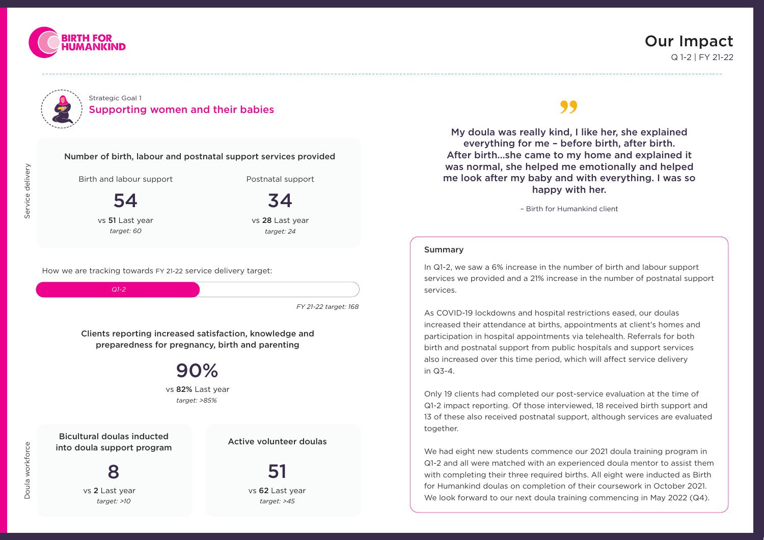



#### Strategic Goal 1 Supporting women and their babies

## Our Impact Q 1-2 | FY 21-22



Postnatal support

#### Summary

In Q1-2, we saw a 6% increase in the number of birth and labour support services we provided and a 21% increase in the number of postnatal support services.

We had eight new students commence our 2021 doula training program in Q1-2 and all were matched with an experienced doula mentor to assist them with completing their three required births. All eight were inducted as Birth for Humankind doulas on completion of their coursework in October 2021. We look forward to our next doula training commencing in May 2022 (Q4).

As COVID-19 lockdowns and hospital restrictions eased, our doulas increased their attendance at births, appointments at client's homes and participation in hospital appointments via telehealth. Referrals for both birth and postnatal support from public hospitals and support services also increased over this time period, which will affect service delivery in Q3-4.

Only 19 clients had completed our post-service evaluation at the time of Q1-2 impact reporting. Of those interviewed, 18 received birth support and 13 of these also received postnatal support, although services are evaluated together.

My doula was really kind, I like her, she explained everything for me – before birth, after birth. After birth...she came to my home and explained it was normal, she helped me emotionally and helped me look after my baby and with everything. I was so happy with her.  $99$ <br>  $\frac{1}{2}$ 

34 vs 28 Last year

Active volunteer doulas

Bicultural doulas inducted into doula support program

8

vs 62 Last year **51** *target: >10 target: >45*

Clients reporting increased satisfaction, knowledge and preparedness for pregnancy, birth and parenting

> 90% *target: >85%* vs 82% Last year

vs 2 Last year

Birth and labour support

vs 51 Last year 54

*target: 60*

*target: 24*

How we are tracking towards FY 21-22 service delivery target:



*FY 21-22 target: 168*

– Birth for Humankind client